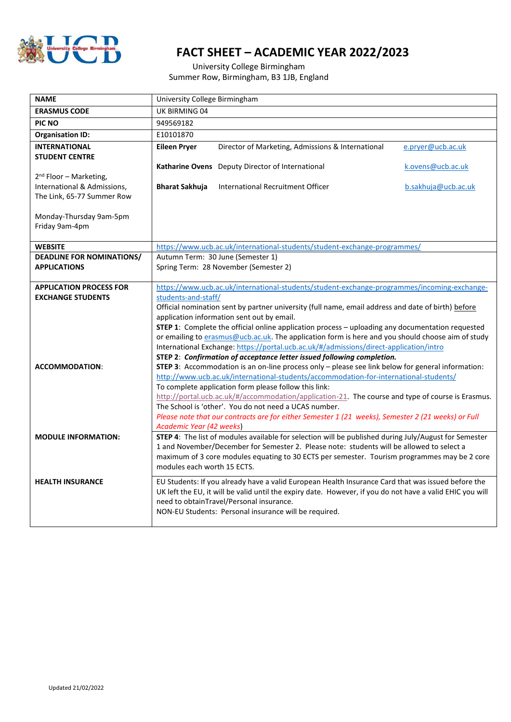

## **FACT SHEET – ACADEMIC YEAR 2022/2023**

University College Birmingham Summer Row, Birmingham, B3 1JB, England

| <b>NAME</b>                                               | University College Birmingham                                                                                                                                                                                                                              |                                                                                                           |                     |
|-----------------------------------------------------------|------------------------------------------------------------------------------------------------------------------------------------------------------------------------------------------------------------------------------------------------------------|-----------------------------------------------------------------------------------------------------------|---------------------|
| <b>ERASMUS CODE</b>                                       | UK BIRMING 04                                                                                                                                                                                                                                              |                                                                                                           |                     |
| PIC NO                                                    | 949569182                                                                                                                                                                                                                                                  |                                                                                                           |                     |
| <b>Organisation ID:</b>                                   | E10101870                                                                                                                                                                                                                                                  |                                                                                                           |                     |
| <b>INTERNATIONAL</b>                                      | <b>Eileen Pryer</b>                                                                                                                                                                                                                                        | Director of Marketing, Admissions & International                                                         | e.pryer@ucb.ac.uk   |
| <b>STUDENT CENTRE</b>                                     |                                                                                                                                                                                                                                                            |                                                                                                           |                     |
|                                                           |                                                                                                                                                                                                                                                            | Katharine Ovens Deputy Director of International                                                          | k.ovens@ucb.ac.uk   |
| 2 <sup>nd</sup> Floor - Marketing,                        |                                                                                                                                                                                                                                                            |                                                                                                           |                     |
| International & Admissions,<br>The Link, 65-77 Summer Row | <b>Bharat Sakhuja</b>                                                                                                                                                                                                                                      | International Recruitment Officer                                                                         | b.sakhuja@ucb.ac.uk |
|                                                           |                                                                                                                                                                                                                                                            |                                                                                                           |                     |
| Monday-Thursday 9am-5pm                                   |                                                                                                                                                                                                                                                            |                                                                                                           |                     |
| Friday 9am-4pm                                            |                                                                                                                                                                                                                                                            |                                                                                                           |                     |
|                                                           |                                                                                                                                                                                                                                                            |                                                                                                           |                     |
| <b>WEBSITE</b>                                            | https://www.ucb.ac.uk/international-students/student-exchange-programmes/                                                                                                                                                                                  |                                                                                                           |                     |
| <b>DEADLINE FOR NOMINATIONS/</b>                          | Autumn Term: 30 June (Semester 1)                                                                                                                                                                                                                          |                                                                                                           |                     |
| <b>APPLICATIONS</b>                                       |                                                                                                                                                                                                                                                            | Spring Term: 28 November (Semester 2)                                                                     |                     |
| <b>APPLICATION PROCESS FOR</b>                            |                                                                                                                                                                                                                                                            | https://www.ucb.ac.uk/international-students/student-exchange-programmes/incoming-exchange-               |                     |
| <b>EXCHANGE STUDENTS</b>                                  | students-and-staff/                                                                                                                                                                                                                                        |                                                                                                           |                     |
|                                                           |                                                                                                                                                                                                                                                            | Official nomination sent by partner university (full name, email address and date of birth) before        |                     |
|                                                           | application information sent out by email.<br><b>STEP 1:</b> Complete the official online application process - uploading any documentation requested<br>or emailing to erasmus@ucb.ac.uk. The application form is here and you should choose aim of study |                                                                                                           |                     |
|                                                           |                                                                                                                                                                                                                                                            |                                                                                                           |                     |
|                                                           |                                                                                                                                                                                                                                                            |                                                                                                           |                     |
|                                                           | International Exchange: https://portal.ucb.ac.uk/#/admissions/direct-application/intro                                                                                                                                                                     |                                                                                                           |                     |
|                                                           |                                                                                                                                                                                                                                                            | STEP 2: Confirmation of acceptance letter issued following completion.                                    |                     |
| <b>ACCOMMODATION:</b>                                     | STEP 3: Accommodation is an on-line process only - please see link below for general information:<br>http://www.ucb.ac.uk/international-students/accommodation-for-international-students/                                                                 |                                                                                                           |                     |
|                                                           |                                                                                                                                                                                                                                                            | To complete application form please follow this link:                                                     |                     |
|                                                           |                                                                                                                                                                                                                                                            | http://portal.ucb.ac.uk/#/accommodation/application-21. The course and type of course is Erasmus.         |                     |
|                                                           |                                                                                                                                                                                                                                                            | The School is 'other'. You do not need a UCAS number.                                                     |                     |
|                                                           |                                                                                                                                                                                                                                                            | Please note that our contracts are for either Semester 1 (21 weeks), Semester 2 (21 weeks) or Full        |                     |
|                                                           | Academic Year (42 weeks)                                                                                                                                                                                                                                   |                                                                                                           |                     |
| <b>MODULE INFORMATION:</b>                                | STEP 4: The list of modules available for selection will be published during July/August for Semester                                                                                                                                                      |                                                                                                           |                     |
|                                                           |                                                                                                                                                                                                                                                            | 1 and November/December for Semester 2. Please note: students will be allowed to select a                 |                     |
|                                                           |                                                                                                                                                                                                                                                            | maximum of 3 core modules equating to 30 ECTS per semester. Tourism programmes may be 2 core              |                     |
|                                                           | modules each worth 15 ECTS.                                                                                                                                                                                                                                |                                                                                                           |                     |
| <b>HEALTH INSURANCE</b>                                   |                                                                                                                                                                                                                                                            | EU Students: If you already have a valid European Health Insurance Card that was issued before the        |                     |
|                                                           |                                                                                                                                                                                                                                                            | UK left the EU, it will be valid until the expiry date. However, if you do not have a valid EHIC you will |                     |
|                                                           |                                                                                                                                                                                                                                                            | need to obtainTravel/Personal insurance.                                                                  |                     |
|                                                           |                                                                                                                                                                                                                                                            | NON-EU Students: Personal insurance will be required.                                                     |                     |
|                                                           |                                                                                                                                                                                                                                                            |                                                                                                           |                     |